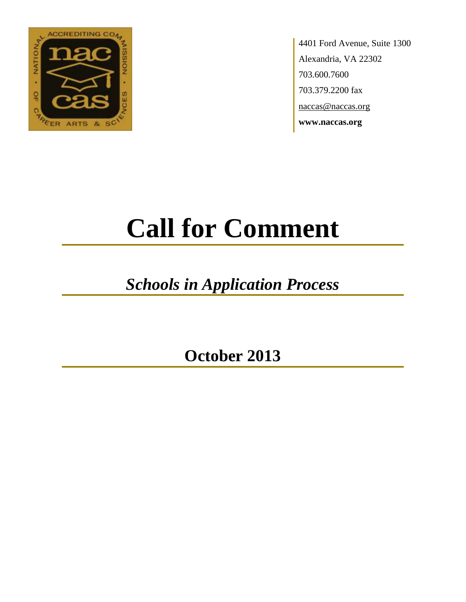

4401 Ford Avenue, Suite 1300 Alexandria, VA 22302 703.600.7600 703.379.2200 fax naccas@naccas.org **www.naccas.org**

# **Call for Comment**

## *Schools in Application Process*

**October 2013**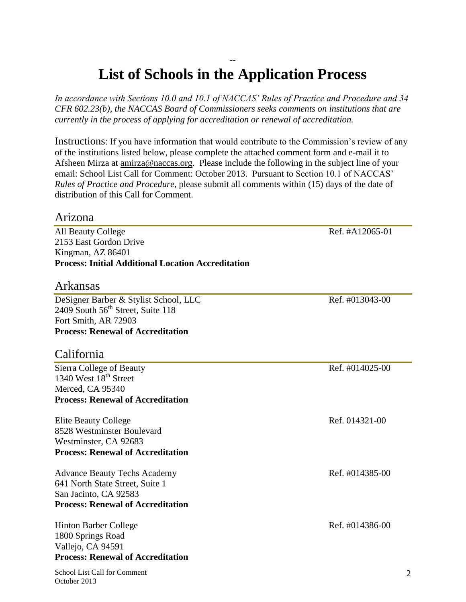#### -- **List of Schools in the Application Process**

*In accordance with Sections 10.0 and 10.1 of NACCAS' Rules of Practice and Procedure and 34 CFR 602.23(b), the NACCAS Board of Commissioners seeks comments on institutions that are currently in the process of applying for accreditation or renewal of accreditation.*

Instructions: If you have information that would contribute to the Commission's review of any of the institutions listed below, please complete the attached comment form and e-mail it to Afsheen Mirza at [amirza@naccas.org.](mailto:amirza@naccas.org) Please include the following in the subject line of your email: School List Call for Comment: October 2013. Pursuant to Section 10.1 of NACCAS' *Rules of Practice and Procedure*, please submit all comments within (15) days of the date of distribution of this Call for Comment.

#### Arizona

All Beauty College **Ref.** #A12065-01 2153 East Gordon Drive Kingman, AZ 86401 **Process: Initial Additional Location Accreditation**

#### Arkansas

DeSigner Barber & Stylist School, LLC Ref. #013043-00 2409 South  $56<sup>th</sup>$  Street, Suite 118 Fort Smith, AR 72903 **Process: Renewal of Accreditation**

#### California

Sierra College of Beauty Ref. #014025-00 1340 West  $18^{th}$  Street Merced, CA 95340 **Process: Renewal of Accreditation**

Elite Beauty College **Ref.** 014321-00 8528 Westminster Boulevard Westminster, CA 92683 **Process: Renewal of Accreditation**

Advance Beauty Techs Academy **Ref.** #014385-00 641 North State Street, Suite 1 San Jacinto, CA 92583 **Process: Renewal of Accreditation**

Hinton Barber College Ref. #014386-00 1800 Springs Road Vallejo, CA 94591 **Process: Renewal of Accreditation**

School List Call for Comment October 2013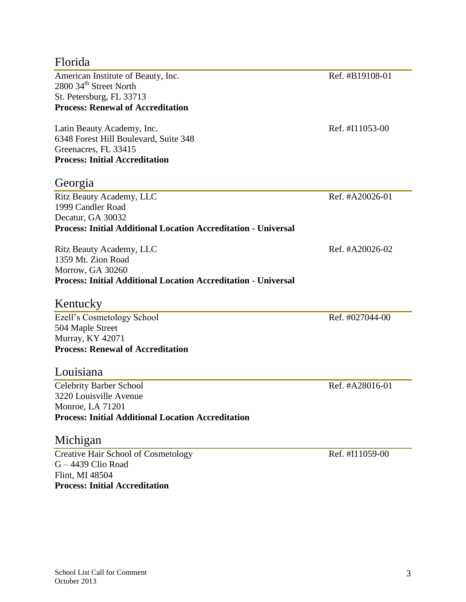#### Florida

American Institute of Beauty, Inc. Ref. #B19108-01 2800 34<sup>th</sup> Street North St. Petersburg, FL 33713 **Process: Renewal of Accreditation**

Latin Beauty Academy, Inc. Ref. #I11053-00 6348 Forest Hill Boulevard, Suite 348 Greenacres, FL 33415 **Process: Initial Accreditation**

#### Georgia

Ritz Beauty Academy, LLC Ref. #A20026-01 1999 Candler Road Decatur, GA 30032 **Process: Initial Additional Location Accreditation - Universal**

Ritz Beauty Academy, LLC Ref. #A20026-02 1359 Mt. Zion Road Morrow, GA 30260 **Process: Initial Additional Location Accreditation - Universal**

#### Kentucky

Ezell's Cosmetology School Ref. #027044-00 504 Maple Street Murray, KY 42071 **Process: Renewal of Accreditation**

#### Louisiana

Celebrity Barber School Ref. #A28016-01 3220 Louisville Avenue Monroe, LA 71201 **Process: Initial Additional Location Accreditation**

#### Michigan

Creative Hair School of Cosmetology Ref. #I11059-00 G – 4439 Clio Road Flint, MI 48504 **Process: Initial Accreditation**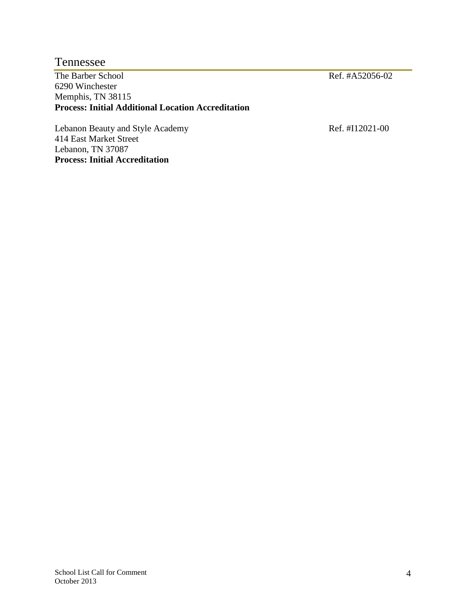#### Tennessee

The Barber School Ref. #A52056-02 6290 Winchester Memphis, TN 38115 **Process: Initial Additional Location Accreditation**

Lebanon Beauty and Style Academy Ref. #I12021-00 414 East Market Street Lebanon, TN 37087 **Process: Initial Accreditation**